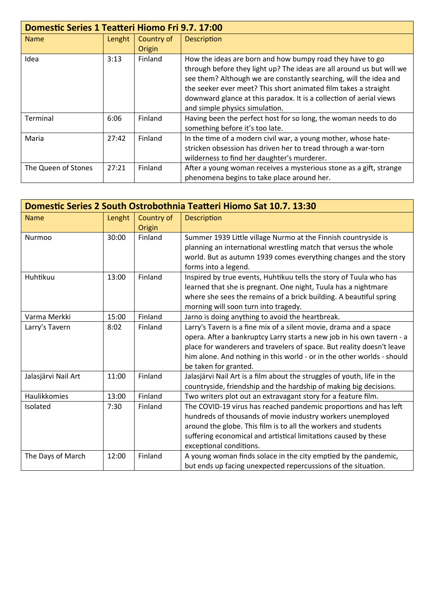|                     | <b>Domestic Series 1 Teatteri Hiomo Fri 9.7. 17:00</b> |                      |                                                                                                                                                                                                                                                                                                                                                                                     |  |
|---------------------|--------------------------------------------------------|----------------------|-------------------------------------------------------------------------------------------------------------------------------------------------------------------------------------------------------------------------------------------------------------------------------------------------------------------------------------------------------------------------------------|--|
| <b>Name</b>         | Lenght                                                 | Country of<br>Origin | <b>Description</b>                                                                                                                                                                                                                                                                                                                                                                  |  |
| Idea                | 3:13                                                   | Finland              | How the ideas are born and how bumpy road they have to go<br>through before they light up? The ideas are all around us but will we<br>see them? Although we are constantly searching, will the idea and<br>the seeker ever meet? This short animated film takes a straight<br>downward glance at this paradox. It is a collection of aerial views<br>and simple physics simulation. |  |
| Terminal            | 6:06                                                   | Finland              | Having been the perfect host for so long, the woman needs to do<br>something before it's too late.                                                                                                                                                                                                                                                                                  |  |
| Maria               | 27:42                                                  | Finland              | In the time of a modern civil war, a young mother, whose hate-<br>stricken obsession has driven her to tread through a war-torn<br>wilderness to find her daughter's murderer.                                                                                                                                                                                                      |  |
| The Queen of Stones | 27:21                                                  | Finland              | After a young woman receives a mysterious stone as a gift, strange<br>phenomena begins to take place around her.                                                                                                                                                                                                                                                                    |  |

| Domestic Series 2 South Ostrobothnia Teatteri Hiomo Sat 10.7. 13:30 |        |                      |                                                                                                                                                                                                                                                                                                                         |
|---------------------------------------------------------------------|--------|----------------------|-------------------------------------------------------------------------------------------------------------------------------------------------------------------------------------------------------------------------------------------------------------------------------------------------------------------------|
| <b>Name</b>                                                         | Lenght | Country of<br>Origin | Description                                                                                                                                                                                                                                                                                                             |
| Nurmoo                                                              | 30:00  | Finland              | Summer 1939 Little village Nurmo at the Finnish countryside is<br>planning an international wrestling match that versus the whole<br>world. But as autumn 1939 comes everything changes and the story<br>forms into a legend.                                                                                           |
| Huhtikuu                                                            | 13:00  | Finland              | Inspired by true events, Huhtikuu tells the story of Tuula who has<br>learned that she is pregnant. One night, Tuula has a nightmare<br>where she sees the remains of a brick building. A beautiful spring<br>morning will soon turn into tragedy.                                                                      |
| Varma Merkki                                                        | 15:00  | Finland              | Jarno is doing anything to avoid the heartbreak.                                                                                                                                                                                                                                                                        |
| Larry's Tavern                                                      | 8:02   | Finland              | Larry's Tavern is a fine mix of a silent movie, drama and a space<br>opera. After a bankruptcy Larry starts a new job in his own tavern - a<br>place for wanderers and travelers of space. But reality doesn't leave<br>him alone. And nothing in this world - or in the other worlds - should<br>be taken for granted. |
| Jalasjärvi Nail Art                                                 | 11:00  | Finland              | Jalasjärvi Nail Art is a film about the struggles of youth, life in the<br>countryside, friendship and the hardship of making big decisions.                                                                                                                                                                            |
| Haulikkomies                                                        | 13:00  | Finland              | Two writers plot out an extravagant story for a feature film.                                                                                                                                                                                                                                                           |
| Isolated                                                            | 7:30   | Finland              | The COVID-19 virus has reached pandemic proportions and has left<br>hundreds of thousands of movie industry workers unemployed<br>around the globe. This film is to all the workers and students<br>suffering economical and artistical limitations caused by these<br>exceptional conditions.                          |
| The Days of March                                                   | 12:00  | Finland              | A young woman finds solace in the city emptied by the pandemic,<br>but ends up facing unexpected repercussions of the situation.                                                                                                                                                                                        |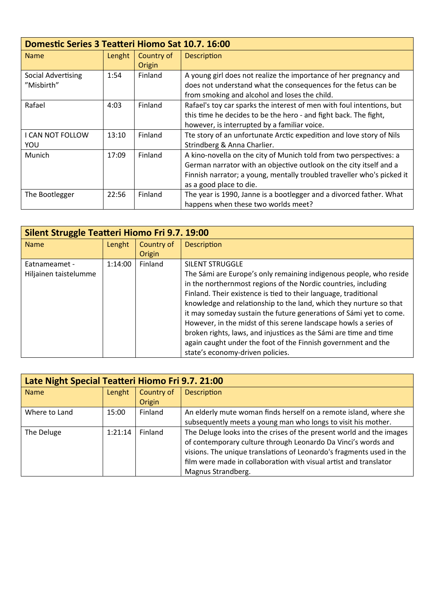|                                  | Domestic Series 3 Teatteri Hiomo Sat 10.7. 16:00 |                      |                                                                                                                                                                                                                                               |  |
|----------------------------------|--------------------------------------------------|----------------------|-----------------------------------------------------------------------------------------------------------------------------------------------------------------------------------------------------------------------------------------------|--|
| <b>Name</b>                      | Lenght                                           | Country of<br>Origin | <b>Description</b>                                                                                                                                                                                                                            |  |
| Social Advertising<br>"Misbirth" | 1:54                                             | Finland              | A young girl does not realize the importance of her pregnancy and<br>does not understand what the consequences for the fetus can be<br>from smoking and alcohol and loses the child.                                                          |  |
| Rafael                           | 4:03                                             | Finland              | Rafael's toy car sparks the interest of men with foul intentions, but<br>this time he decides to be the hero - and fight back. The fight,<br>however, is interrupted by a familiar voice.                                                     |  |
| I CAN NOT FOLLOW<br>YOU          | 13:10                                            | Finland              | Tte story of an unfortunate Arctic expedition and love story of Nils<br>Strindberg & Anna Charlier.                                                                                                                                           |  |
| Munich                           | 17:09                                            | Finland              | A kino-novella on the city of Munich told from two perspectives: a<br>German narrator with an objective outlook on the city itself and a<br>Finnish narrator; a young, mentally troubled traveller who's picked it<br>as a good place to die. |  |
| The Bootlegger                   | 22:56                                            | Finland              | The year is 1990, Janne is a bootlegger and a divorced father. What<br>happens when these two worlds meet?                                                                                                                                    |  |

| Silent Struggle Teatteri Hiomo Fri 9.7. 19:00 |         |            |                                                                    |
|-----------------------------------------------|---------|------------|--------------------------------------------------------------------|
| <b>Name</b>                                   | Lenght  | Country of | <b>Description</b>                                                 |
|                                               |         | Origin     |                                                                    |
| Eatnameamet -                                 | 1:14:00 | Finland    | <b>SILENT STRUGGLE</b>                                             |
| Hiljainen taistelumme                         |         |            | The Sámi are Europe's only remaining indigenous people, who reside |
|                                               |         |            | in the northernmost regions of the Nordic countries, including     |
|                                               |         |            | Finland. Their existence is tied to their language, traditional    |
|                                               |         |            | knowledge and relationship to the land, which they nurture so that |
|                                               |         |            | it may someday sustain the future generations of Sámi yet to come. |
|                                               |         |            | However, in the midst of this serene landscape howls a series of   |
|                                               |         |            | broken rights, laws, and injustices as the Sámi are time and time  |
|                                               |         |            | again caught under the foot of the Finnish government and the      |
|                                               |         |            | state's economy-driven policies.                                   |

| Late Night Special Teatteri Hiomo Fri 9.7. 21:00 |         |                      |                                                                                                                                                                                                                                                                                                          |
|--------------------------------------------------|---------|----------------------|----------------------------------------------------------------------------------------------------------------------------------------------------------------------------------------------------------------------------------------------------------------------------------------------------------|
| <b>Name</b>                                      | Lenght  | Country of<br>Origin | <b>Description</b>                                                                                                                                                                                                                                                                                       |
| Where to Land                                    | 15:00   | Finland              | An elderly mute woman finds herself on a remote island, where she<br>subsequently meets a young man who longs to visit his mother.                                                                                                                                                                       |
| The Deluge                                       | 1:21:14 | Finland              | The Deluge looks into the crises of the present world and the images<br>of contemporary culture through Leonardo Da Vinci's words and<br>visions. The unique translations of Leonardo's fragments used in the<br>film were made in collaboration with visual artist and translator<br>Magnus Strandberg. |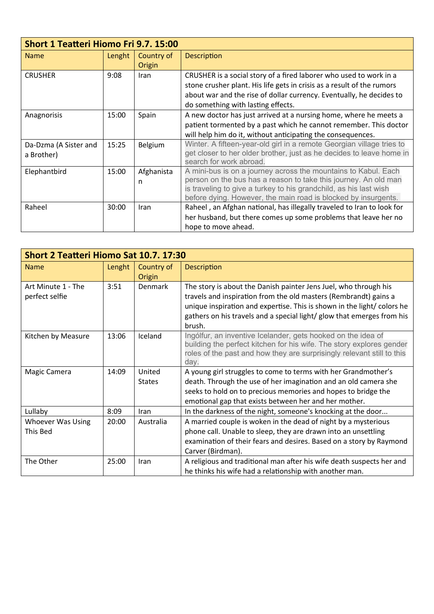|                                     | Short 1 Teatteri Hiomo Fri 9.7. 15:00 |                      |                                                                                                                                                                                                                                                                          |  |
|-------------------------------------|---------------------------------------|----------------------|--------------------------------------------------------------------------------------------------------------------------------------------------------------------------------------------------------------------------------------------------------------------------|--|
| <b>Name</b>                         | Lenght                                | Country of<br>Origin | Description                                                                                                                                                                                                                                                              |  |
| <b>CRUSHER</b>                      | 9:08                                  | Iran                 | CRUSHER is a social story of a fired laborer who used to work in a<br>stone crusher plant. His life gets in crisis as a result of the rumors<br>about war and the rise of dollar currency. Eventually, he decides to<br>do something with lasting effects.               |  |
| Anagnorisis                         | 15:00                                 | Spain                | A new doctor has just arrived at a nursing home, where he meets a<br>patient tormented by a past which he cannot remember. This doctor<br>will help him do it, without anticipating the consequences.                                                                    |  |
| Da-Dzma (A Sister and<br>a Brother) | 15:25                                 | <b>Belgium</b>       | Winter. A fifteen-year-old girl in a remote Georgian village tries to<br>get closer to her older brother, just as he decides to leave home in<br>search for work abroad.                                                                                                 |  |
| Elephantbird                        | 15:00                                 | Afghanista<br>n      | A mini-bus is on a journey across the mountains to Kabul. Each<br>person on the bus has a reason to take this journey. An old man<br>is traveling to give a turkey to his grandchild, as his last wish<br>before dying. However, the main road is blocked by insurgents. |  |
| Raheel                              | 30:00                                 | Iran                 | Raheel, an Afghan national, has illegally traveled to Iran to look for<br>her husband, but there comes up some problems that leave her no<br>hope to move ahead.                                                                                                         |  |

| Short 2 Teatteri Hiomo Sat 10.7. 17:30 |        |                         |                                                                                                                                                                                                                                                                                                     |
|----------------------------------------|--------|-------------------------|-----------------------------------------------------------------------------------------------------------------------------------------------------------------------------------------------------------------------------------------------------------------------------------------------------|
| <b>Name</b>                            | Lenght | Country of<br>Origin    | Description                                                                                                                                                                                                                                                                                         |
| Art Minute 1 - The<br>perfect selfie   | 3:51   | Denmark                 | The story is about the Danish painter Jens Juel, who through his<br>travels and inspiration from the old masters (Rembrandt) gains a<br>unique inspiration and expertise. This is shown in the light/ colors he<br>gathers on his travels and a special light/ glow that emerges from his<br>brush. |
| Kitchen by Measure                     | 13:06  | Iceland                 | Ingólfur, an inventive Icelander, gets hooked on the idea of<br>building the perfect kitchen for his wife. The story explores gender<br>roles of the past and how they are surprisingly relevant still to this<br>day.                                                                              |
| Magic Camera                           | 14:09  | United<br><b>States</b> | A young girl struggles to come to terms with her Grandmother's<br>death. Through the use of her imagination and an old camera she<br>seeks to hold on to precious memories and hopes to bridge the<br>emotional gap that exists between her and her mother.                                         |
| Lullaby                                | 8:09   | Iran                    | In the darkness of the night, someone's knocking at the door                                                                                                                                                                                                                                        |
| <b>Whoever Was Using</b><br>This Bed   | 20:00  | Australia               | A married couple is woken in the dead of night by a mysterious<br>phone call. Unable to sleep, they are drawn into an unsettling<br>examination of their fears and desires. Based on a story by Raymond<br>Carver (Birdman).                                                                        |
| The Other                              | 25:00  | Iran                    | A religious and traditional man after his wife death suspects her and<br>he thinks his wife had a relationship with another man.                                                                                                                                                                    |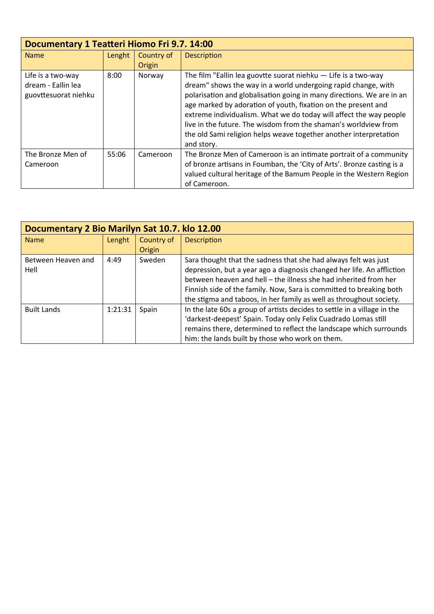| Documentary 1 Teatteri Hiomo Fri 9.7. 14:00 |        |            |                                                                        |
|---------------------------------------------|--------|------------|------------------------------------------------------------------------|
| <b>Name</b>                                 | Lenght | Country of | <b>Description</b>                                                     |
|                                             |        | Origin     |                                                                        |
| Life is a two-way                           | 8:00   | Norway     | The film "Eallin lea guovtte suorat niehku $-$ Life is a two-way       |
| dream - Eallin lea                          |        |            | dream" shows the way in a world undergoing rapid change, with          |
| guovttesuorat niehku                        |        |            | polarisation and globalisation going in many directions. We are in an  |
|                                             |        |            | age marked by adoration of youth, fixation on the present and          |
|                                             |        |            | extreme individualism. What we do today will affect the way people     |
|                                             |        |            | live in the future. The wisdom from the shaman's worldview from        |
|                                             |        |            | the old Sami religion helps weave together another interpretation      |
|                                             |        |            | and story.                                                             |
| The Bronze Men of                           | 55:06  | Cameroon   | The Bronze Men of Cameroon is an intimate portrait of a community      |
| Cameroon                                    |        |            | of bronze artisans in Foumban, the 'City of Arts'. Bronze casting is a |
|                                             |        |            | valued cultural heritage of the Bamum People in the Western Region     |
|                                             |        |            | of Cameroon.                                                           |

|                    | Documentary 2 Bio Marilyn Sat 10.7. klo 12.00 |            |                                                                          |  |
|--------------------|-----------------------------------------------|------------|--------------------------------------------------------------------------|--|
| <b>Name</b>        | Lenght                                        | Country of | <b>Description</b>                                                       |  |
|                    |                                               | Origin     |                                                                          |  |
| Between Heaven and | 4:49                                          | Sweden     | Sara thought that the sadness that she had always felt was just          |  |
| Hell               |                                               |            | depression, but a year ago a diagnosis changed her life. An affliction   |  |
|                    |                                               |            | between heaven and hell – the illness she had inherited from her         |  |
|                    |                                               |            | Finnish side of the family. Now, Sara is committed to breaking both      |  |
|                    |                                               |            | the stigma and taboos, in her family as well as throughout society.      |  |
| <b>Built Lands</b> | 1:21:31                                       | Spain      | In the late 60s a group of artists decides to settle in a village in the |  |
|                    |                                               |            | 'darkest-deepest' Spain. Today only Felix Cuadrado Lomas still           |  |
|                    |                                               |            | remains there, determined to reflect the landscape which surrounds       |  |
|                    |                                               |            | him: the lands built by those who work on them.                          |  |